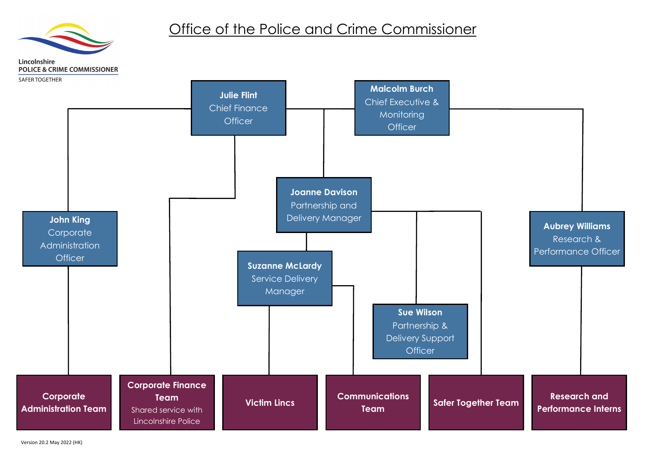

#### **Aubrey Williams** Research & Performance Officer

**Research and Performance Interns**



### Office of the Police and Crime Commissioner

Lincolnshire **POLICE & CRIME COMMISSIONER**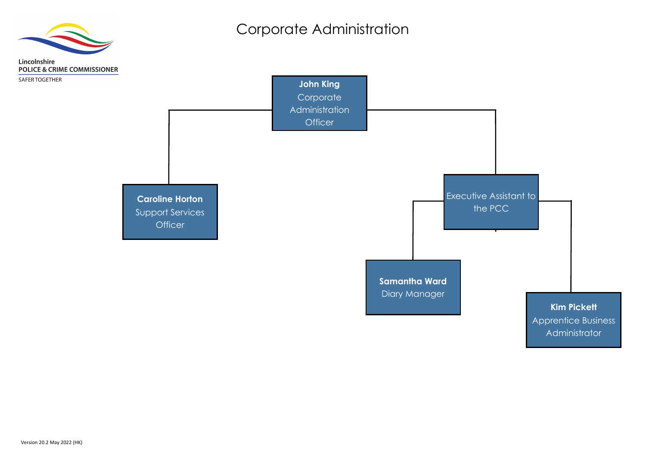**Samantha Ward** Diary Manager



#### **Kim Pickett**

Apprentice Business Administrator



## Corporate Administration

Lincolnshire **POLICE & CRIME COMMISSIONER** 

SAFER TOGETHER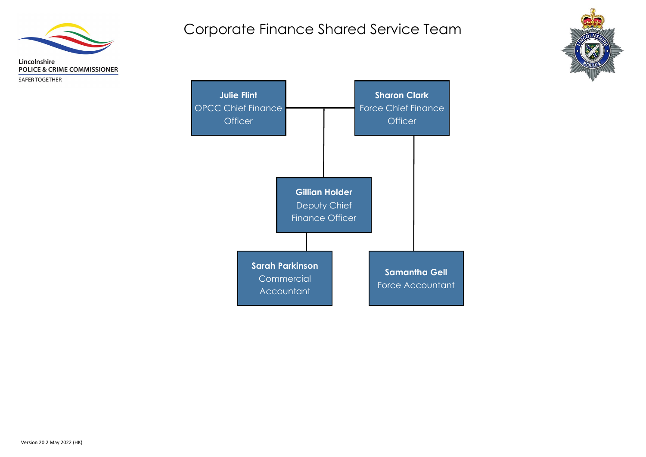

SAFER TOGETHER





## Corporate Finance Shared Service Team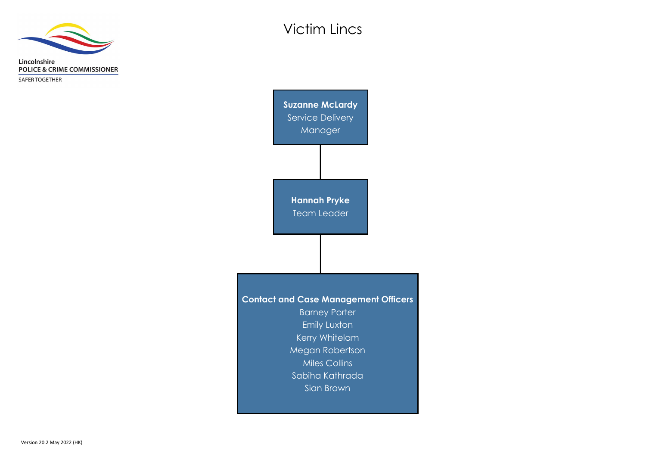

SAFER TOGETHER

**Contact and Case Management Officers** Barney Porter Emily Luxton Kerry Whitelam Megan Robertson Miles Collins Sabiha Kathrada Sian Brown **Hannah Pryke** Team Leader **Suzanne McLardy** Service Delivery Manager

# Victim Lincs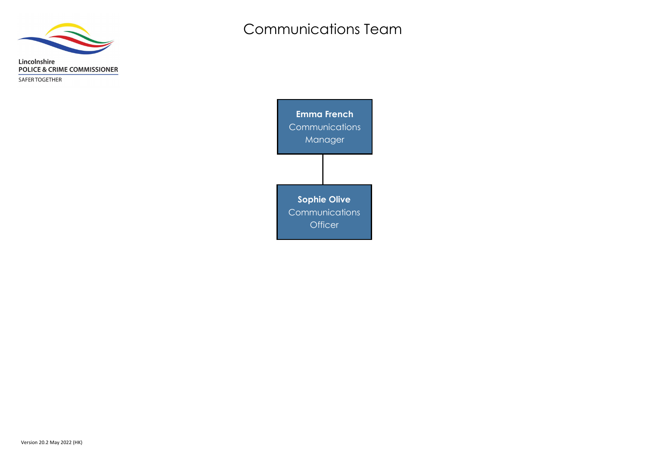

SAFER TOGETHER

**Emma French Communications** Manager **Sophie Olive Communications Officer** 

# Communications Team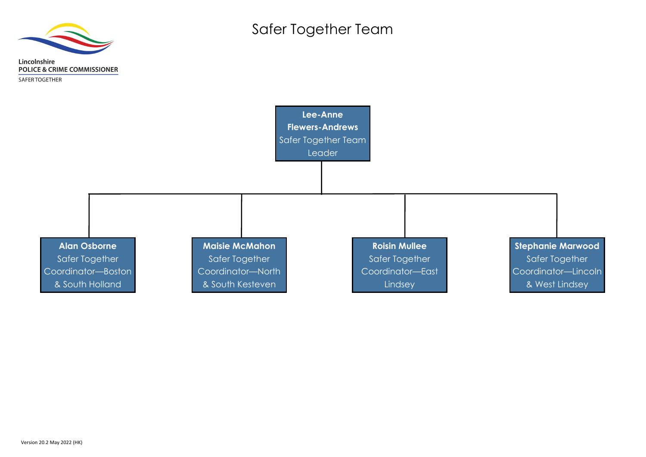

**Stephanie Marwood** Safer Together Coordinator—Lincoln & West Lindsey



Safer Together Team

Lincolnshire **POLICE & CRIME COMMISSIONER** 

**SAFER TOGETHER**